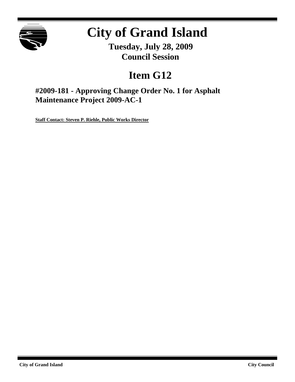

# **City of Grand Island**

**Tuesday, July 28, 2009 Council Session**

# **Item G12**

**#2009-181 - Approving Change Order No. 1 for Asphalt Maintenance Project 2009-AC-1**

**Staff Contact: Steven P. Riehle, Public Works Director**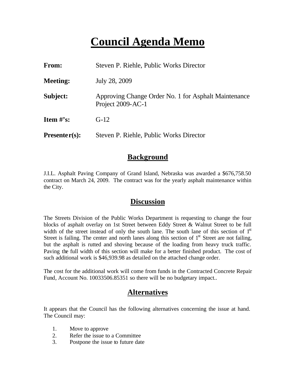# **Council Agenda Memo**

| From:           | Steven P. Riehle, Public Works Director                                   |  |
|-----------------|---------------------------------------------------------------------------|--|
| <b>Meeting:</b> | July 28, 2009                                                             |  |
| Subject:        | Approving Change Order No. 1 for Asphalt Maintenance<br>Project 2009-AC-1 |  |
| Item $\#$ 's:   | $G-12$                                                                    |  |
| $Presenter(s):$ | Steven P. Riehle, Public Works Director                                   |  |

### **Background**

J.I.L. Asphalt Paving Company of Grand Island, Nebraska was awarded a \$676,758.50 contract on March 24, 2009. The contract was for the yearly asphalt maintenance within the City.

### **Discussion**

The Streets Division of the Public Works Department is requesting to change the four blocks of asphalt overlay on 1st Street between Eddy Street & Walnut Street to be full width of the street instead of only the south lane. The south lane of this section of 1<sup>st</sup> Street is failing. The center and north lanes along this section of  $1<sup>st</sup>$  Street are not failing, but the asphalt is rutted and shoving because of the loading from heavy truck traffic. Paving the full width of this section will make for a better finished product. The cost of such additional work is \$46,939.98 as detailed on the attached change order.

The cost for the additional work will come from funds in the Contracted Concrete Repair Fund, Account No. 10033506.85351 so there will be no budgetary impact..

## **Alternatives**

It appears that the Council has the following alternatives concerning the issue at hand. The Council may:

- 1. Move to approve
- 2. Refer the issue to a Committee
- 3. Postpone the issue to future date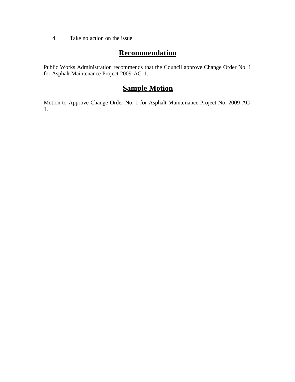4. Take no action on the issue

### **Recommendation**

Public Works Administration recommends that the Council approve Change Order No. 1 for Asphalt Maintenance Project 2009-AC-1.

## **Sample Motion**

Motion to Approve Change Order No. 1 for Asphalt Maintenance Project No. 2009-AC-1.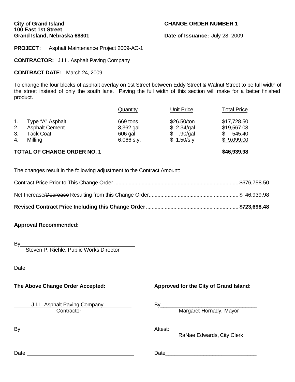## **City of Grand Island CHANGE ORDER NUMBER 1 100 East 1st Street**

**Date of Issuance: July 28, 2009** 

**PROJECT**: Asphalt Maintenance Project 2009-AC-1

**CONTRACTOR:** J.I.L. Asphalt Paving Company

#### **CONTRACT DATE:** March 24, 2009

To change the four blocks of asphalt overlay on 1st Street between Eddy Street & Walnut Street to be full width of the street instead of only the south lane. Paving the full width of this section will make for a better finished product.

| <b>TOTAL OF CHANGE ORDER NO. 1</b><br>\$46,939.98 |                       |              |             |                    |
|---------------------------------------------------|-----------------------|--------------|-------------|--------------------|
| 4.                                                | Milling               | $6,066$ s.y. | \$1.50/s.v. | \$9,099.00         |
| 3.                                                | Tack Coat             | 606 gal      | .90/gal     | \$<br>545.40       |
| 2.                                                | <b>Asphalt Cement</b> | 8,362 gal    | \$2.34/gal  | \$19,567.08        |
| $\mathbf{1}$ .                                    | Type "A" Asphalt      | 669 tons     | \$26.50/ton | \$17,728.50        |
|                                                   |                       | Quantity     | Unit Price  | <b>Total Price</b> |

The changes result in the following adjustment to the Contract Amount:

#### **Approval Recommended:**

By\_\_\_\_\_\_\_\_\_\_\_\_\_\_\_\_\_\_\_\_\_\_\_\_\_\_\_\_\_\_\_\_\_\_\_\_\_\_\_

Steven P. Riehle, Public Works Director

Date and the contract of the contract of the contract of the contract of the contract of the contract of the contract of the contract of the contract of the contract of the contract of the contract of the contract of the c

J.I.L. Asphalt Paving Company By By Contractor Margaret Hornady, Mayor

By Attest:

**The Above Change Order Accepted: Approved for the City of Grand Island:**

RaNae Edwards, City Clerk

Date **Date Date Date Date Date Date Date Date Date Date Date Date Date Date Date D**